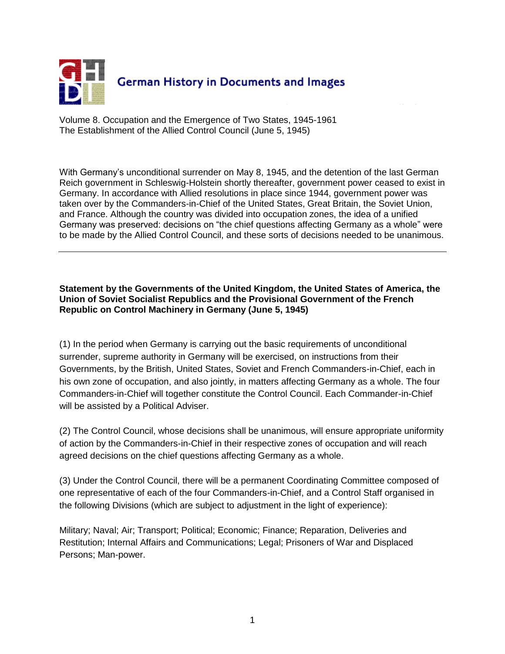

Volume 8. Occupation and the Emergence of Two States, 1945-1961 The Establishment of the Allied Control Council (June 5, 1945)

With Germany's unconditional surrender on May 8, 1945, and the detention of the last German Reich government in Schleswig-Holstein shortly thereafter, government power ceased to exist in Germany. In accordance with Allied resolutions in place since 1944, government power was taken over by the Commanders-in-Chief of the United States, Great Britain, the Soviet Union, and France. Although the country was divided into occupation zones, the idea of a unified Germany was preserved: decisions on "the chief questions affecting Germany as a whole" were to be made by the Allied Control Council, and these sorts of decisions needed to be unanimous.

## **Statement by the Governments of the United Kingdom, the United States of America, the Union of Soviet Socialist Republics and the Provisional Government of the French Republic on Control Machinery in Germany (June 5, 1945)**

(1) In the period when Germany is carrying out the basic requirements of unconditional surrender, supreme authority in Germany will be exercised, on instructions from their Governments, by the British, United States, Soviet and French Commanders-in-Chief, each in his own zone of occupation, and also jointly, in matters affecting Germany as a whole. The four Commanders-in-Chief will together constitute the Control Council. Each Commander-in-Chief will be assisted by a Political Adviser.

(2) The Control Council, whose decisions shall be unanimous, will ensure appropriate uniformity of action by the Commanders-in-Chief in their respective zones of occupation and will reach agreed decisions on the chief questions affecting Germany as a whole.

(3) Under the Control Council, there will be a permanent Coordinating Committee composed of one representative of each of the four Commanders-in-Chief, and a Control Staff organised in the following Divisions (which are subject to adjustment in the light of experience):

Military; Naval; Air; Transport; Political; Economic; Finance; Reparation, Deliveries and Restitution; Internal Affairs and Communications; Legal; Prisoners of War and Displaced Persons; Man-power.